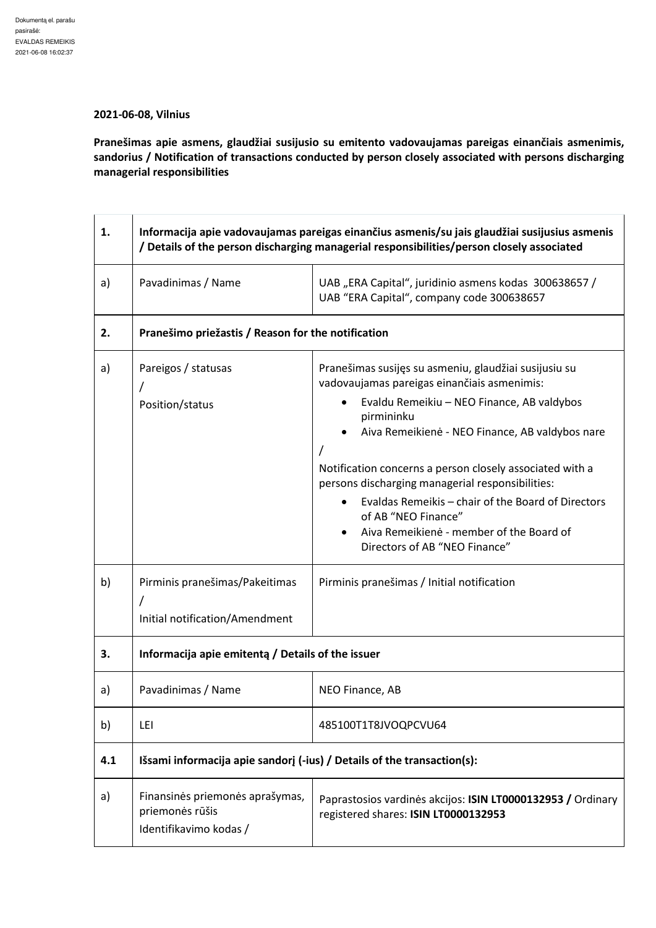## **2021-06-08, Vilnius**

**Pranešimas apie asmens, glaudžiai susijusio su emitento vadovaujamas pareigas einančiais asmenimis, sandorius / Notification of transactions conducted by person closely associated with persons discharging managerial responsibilities** 

| 1.  | Informacija apie vadovaujamas pareigas einančius asmenis/su jais glaudžiai susijusius asmenis<br>/ Details of the person discharging managerial responsibilities/person closely associated |                                                                                                                                                                                                                                                                                                                                                                                                                                                                                                            |  |
|-----|--------------------------------------------------------------------------------------------------------------------------------------------------------------------------------------------|------------------------------------------------------------------------------------------------------------------------------------------------------------------------------------------------------------------------------------------------------------------------------------------------------------------------------------------------------------------------------------------------------------------------------------------------------------------------------------------------------------|--|
| a)  | Pavadinimas / Name                                                                                                                                                                         | UAB "ERA Capital", juridinio asmens kodas 300638657 /<br>UAB "ERA Capital", company code 300638657                                                                                                                                                                                                                                                                                                                                                                                                         |  |
| 2.  | Pranešimo priežastis / Reason for the notification                                                                                                                                         |                                                                                                                                                                                                                                                                                                                                                                                                                                                                                                            |  |
| a)  | Pareigos / statusas<br>Position/status                                                                                                                                                     | Pranešimas susijęs su asmeniu, glaudžiai susijusiu su<br>vadovaujamas pareigas einančiais asmenimis:<br>Evaldu Remeikiu - NEO Finance, AB valdybos<br>pirmininku<br>Aiva Remeikienė - NEO Finance, AB valdybos nare<br>Notification concerns a person closely associated with a<br>persons discharging managerial responsibilities:<br>Evaldas Remeikis - chair of the Board of Directors<br>of AB "NEO Finance"<br>Aiva Remeikienė - member of the Board of<br>$\bullet$<br>Directors of AB "NEO Finance" |  |
| b)  | Pirminis pranešimas/Pakeitimas<br>Initial notification/Amendment                                                                                                                           | Pirminis pranešimas / Initial notification                                                                                                                                                                                                                                                                                                                                                                                                                                                                 |  |
| 3.  | Informacija apie emitenta / Details of the issuer                                                                                                                                          |                                                                                                                                                                                                                                                                                                                                                                                                                                                                                                            |  |
| a)  | Pavadinimas / Name                                                                                                                                                                         | NEO Finance, AB                                                                                                                                                                                                                                                                                                                                                                                                                                                                                            |  |
| b)  | LEI                                                                                                                                                                                        | 485100T1T8JVOQPCVU64                                                                                                                                                                                                                                                                                                                                                                                                                                                                                       |  |
| 4.1 | Išsami informacija apie sandorį (-ius) / Details of the transaction(s):                                                                                                                    |                                                                                                                                                                                                                                                                                                                                                                                                                                                                                                            |  |
| a)  | Finansinės priemonės aprašymas,<br>priemonės rūšis<br>Identifikavimo kodas /                                                                                                               | Paprastosios vardinės akcijos: ISIN LT0000132953 / Ordinary<br>registered shares: ISIN LT0000132953                                                                                                                                                                                                                                                                                                                                                                                                        |  |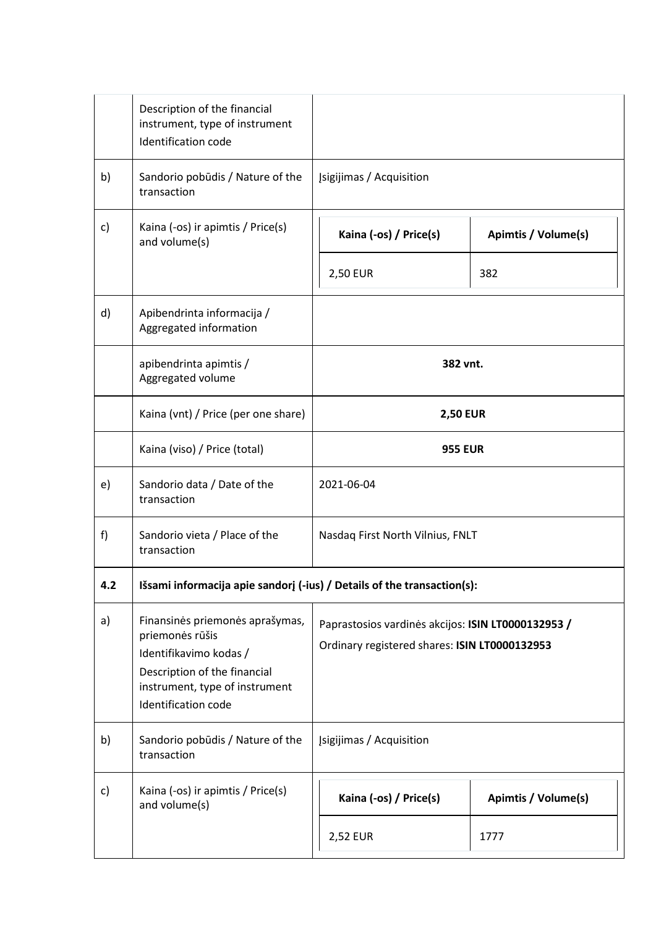|     | Description of the financial<br>instrument, type of instrument<br>Identification code                                                                                 |                                                                                                     |                     |
|-----|-----------------------------------------------------------------------------------------------------------------------------------------------------------------------|-----------------------------------------------------------------------------------------------------|---------------------|
| b)  | Sandorio pobūdis / Nature of the<br>transaction                                                                                                                       | [sigijimas / Acquisition                                                                            |                     |
| c)  | Kaina (-os) ir apimtis / Price(s)<br>and volume(s)                                                                                                                    | Kaina (-os) / Price(s)                                                                              | Apimtis / Volume(s) |
|     |                                                                                                                                                                       | <b>2,50 EUR</b>                                                                                     | 382                 |
| d)  | Apibendrinta informacija /<br>Aggregated information                                                                                                                  |                                                                                                     |                     |
|     | apibendrinta apimtis /<br>Aggregated volume                                                                                                                           | 382 vnt.                                                                                            |                     |
|     | Kaina (vnt) / Price (per one share)                                                                                                                                   | <b>2,50 EUR</b><br><b>955 EUR</b>                                                                   |                     |
|     | Kaina (viso) / Price (total)                                                                                                                                          |                                                                                                     |                     |
| e)  | Sandorio data / Date of the<br>transaction                                                                                                                            | 2021-06-04                                                                                          |                     |
| f)  | Sandorio vieta / Place of the<br>transaction                                                                                                                          | Nasdaq First North Vilnius, FNLT                                                                    |                     |
| 4.2 | Išsami informacija apie sandorį (-ius) / Details of the transaction(s):                                                                                               |                                                                                                     |                     |
| a)  | Finansinės priemonės aprašymas,<br>priemonės rūšis<br>Identifikavimo kodas /<br>Description of the financial<br>instrument, type of instrument<br>Identification code | Paprastosios vardinės akcijos: ISIN LT0000132953 /<br>Ordinary registered shares: ISIN LT0000132953 |                     |
| b)  | Sandorio pobūdis / Nature of the<br>transaction                                                                                                                       | Įsigijimas / Acquisition                                                                            |                     |
| c)  | Kaina (-os) ir apimtis / Price(s)<br>and volume(s)                                                                                                                    | Kaina (-os) / Price(s)                                                                              | Apimtis / Volume(s) |
|     |                                                                                                                                                                       | 2,52 EUR                                                                                            | 1777                |